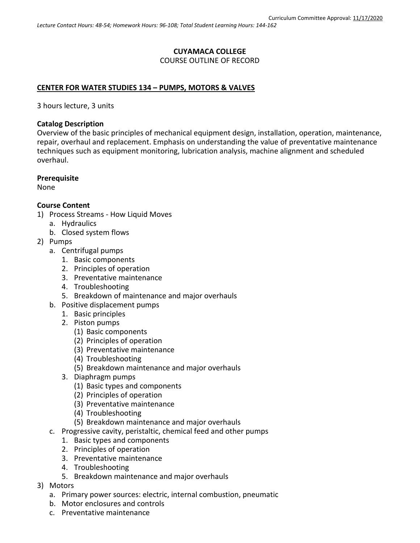### **CUYAMACA COLLEGE** COURSE OUTLINE OF RECORD

### **CENTER FOR WATER STUDIES 134 – PUMPS, MOTORS & VALVES**

3 hours lecture, 3 units

#### **Catalog Description**

Overview of the basic principles of mechanical equipment design, installation, operation, maintenance, repair, overhaul and replacement. Emphasis on understanding the value of preventative maintenance techniques such as equipment monitoring, lubrication analysis, machine alignment and scheduled overhaul.

#### **Prerequisite**

None

#### **Course Content**

- 1) Process Streams How Liquid Moves
	- a. Hydraulics
		- b. Closed system flows
- 2) Pumps
	- a. Centrifugal pumps
		- 1. Basic components
		- 2. Principles of operation
		- 3. Preventative maintenance
		- 4. Troubleshooting
		- 5. Breakdown of maintenance and major overhauls
	- b. Positive displacement pumps
		- 1. Basic principles
			- 2. Piston pumps
				- (1) Basic components
				- (2) Principles of operation
				- (3) Preventative maintenance
				- (4) Troubleshooting
				- (5) Breakdown maintenance and major overhauls
			- 3. Diaphragm pumps
				- (1) Basic types and components
				- (2) Principles of operation
				- (3) Preventative maintenance
				- (4) Troubleshooting
				- (5) Breakdown maintenance and major overhauls
	- c. Progressive cavity, peristaltic, chemical feed and other pumps
		- 1. Basic types and components
		- 2. Principles of operation
		- 3. Preventative maintenance
		- 4. Troubleshooting
		- 5. Breakdown maintenance and major overhauls
- 3) Motors
	- a. Primary power sources: electric, internal combustion, pneumatic
	- b. Motor enclosures and controls
	- c. Preventative maintenance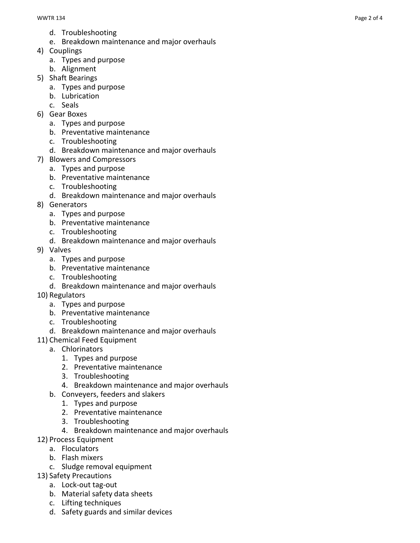- d. Troubleshooting
- e. Breakdown maintenance and major overhauls
- 4) Couplings
	- a. Types and purpose
	- b. Alignment
- 5) Shaft Bearings
	- a. Types and purpose
		- b. Lubrication
		- c. Seals
- 6) Gear Boxes
	- a. Types and purpose
	- b. Preventative maintenance
	- c. Troubleshooting
	- d. Breakdown maintenance and major overhauls
- 7) Blowers and Compressors
	- a. Types and purpose
	- b. Preventative maintenance
	- c. Troubleshooting
	- d. Breakdown maintenance and major overhauls
- 8) Generators
	- a. Types and purpose
	- b. Preventative maintenance
	- c. Troubleshooting
	- d. Breakdown maintenance and major overhauls
- 9) Valves
	- a. Types and purpose
	- b. Preventative maintenance
	- c. Troubleshooting
	- d. Breakdown maintenance and major overhauls
- 10) Regulators
	- a. Types and purpose
	- b. Preventative maintenance
	- c. Troubleshooting
	- d. Breakdown maintenance and major overhauls
- 11) Chemical Feed Equipment
	- a. Chlorinators
		- 1. Types and purpose
			- 2. Preventative maintenance
			- 3. Troubleshooting
			- 4. Breakdown maintenance and major overhauls
	- b. Conveyers, feeders and slakers
		- 1. Types and purpose
			- 2. Preventative maintenance
			- 3. Troubleshooting
			- 4. Breakdown maintenance and major overhauls
- 12) Process Equipment
	- a. Floculators
	- b. Flash mixers
	- c. Sludge removal equipment
- 13) Safety Precautions
	- a. Lock -out tag -out
	- b. Material safety data sheets
	- c. Lifting techniques
	- d. Safety guards and similar devices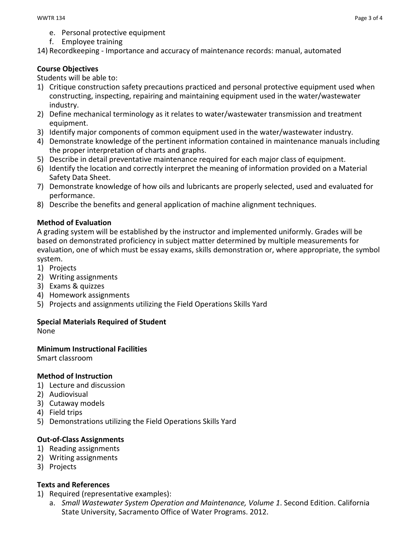- e. Personal protective equipment
- f. Employee training

14) Recordkeeping - Importance and accuracy of maintenance records: manual, automated

## **Course Objectives**

Students will be able to:

- 1) Critique construction safety precautions practiced and personal protective equipment used when constructing, inspecting, repairing and maintaining equipment used in the water/wastewater industry.
- 2) Define mechanical terminology as it relates to water/wastewater transmission and treatment equipment.
- 3) Identify major components of common equipment used in the water/wastewater industry.
- 4) Demonstrate knowledge of the pertinent information contained in maintenance manuals including the proper interpretation of charts and graphs.
- 5) Describe in detail preventative maintenance required for each major class of equipment.
- 6) Identify the location and correctly interpret the meaning of information provided on a Material Safety Data Sheet.
- 7) Demonstrate knowledge of how oils and lubricants are properly selected, used and evaluated for performance.
- 8) Describe the benefits and general application of machine alignment techniques.

# **Method of Evaluation**

A grading system will be established by the instructor and implemented uniformly. Grades will be based on demonstrated proficiency in subject matter determined by multiple measurements for evaluation, one of which must be essay exams, skills demonstration or, where appropriate, the symbol system.

- 1) Projects
- 2) Writing assignments
- 3) Exams & quizzes
- 4) Homework assignments
- 5) Projects and assignments utilizing the Field Operations Skills Yard

# **Special Materials Required of Student**

None

# **Minimum Instructional Facilities**

Smart classroom

### **Method of Instruction**

- 1) Lecture and discussion
- 2) Audiovisual
- 3) Cutaway models
- 4) Field trips
- 5) Demonstrations utilizing the Field Operations Skills Yard

# **Out-of-Class Assignments**

- 1) Reading assignments
- 2) Writing assignments
- 3) Projects

### **Texts and References**

- 1) Required (representative examples):
	- a. *Small Wastewater System Operation and Maintenance, Volume 1*. Second Edition. California State University, Sacramento Office of Water Programs. 2012.